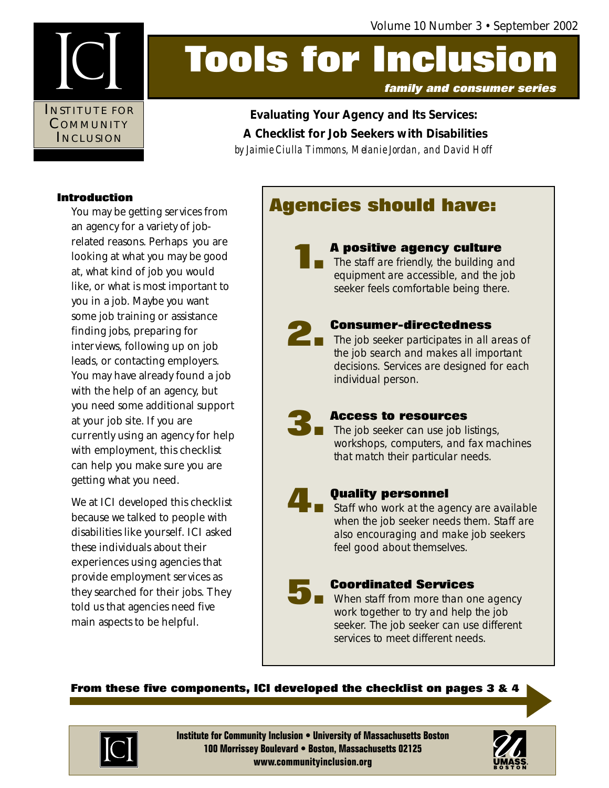

# **Tools for Inclusion**

**Evaluating Your Agency and Its Services: A Checklist for Job Seekers with Disabilities** *by Jaimie Ciulla Timmons, Melanie Jordan, and David Hoff*

#### **Introduction**

You may be getting services from an agency for a variety of jobrelated reasons. Perhaps you are looking at what you may be good at, what kind of job you would like, or what is most important to you in a job. Maybe you want some job training or assistance finding jobs, preparing for interviews, following up on job leads, or contacting employers. You may have already found a job with the help of an agency, but you need some additional support at your job site. If you are currently using an agency for help with employment, this checklist can help you make sure you are getting what you need.

We at ICI developed this checklist because we talked to people with disabilities like yourself. ICI asked these individuals about their experiences using agencies that provide employment services as they searched for their jobs. They told us that agencies need five main aspects to be helpful.

## **Agencies should have:**

# **1.**

#### **A positive agency culture**

The staff are friendly, the building and equipment are accessible, and the job seeker feels comfortable being there.



#### **Consumer-directedness**

**2. Consumer-directedness**<br>The job seeker participates in all areas of<br>the job search and makes all important the job search and makes all important decisions. Services are designed for each individual person.



#### **Access to resources**

 $\blacksquare$  The job seeker can use job listings, workshops, computers, and fax machines that match their particular needs.



#### **Quality personnel**

Staff who work at the agency are available when the job seeker needs them. Staff are also encouraging and make job seekers feel good about themselves.

### **Coordinated Services 5.**

When staff from more than one agency work together to try and help the job seeker. The job seeker can use different services to meet different needs.

#### **From these five components, ICI developed the checklist on pages 3 & 4**



**Institute for Community Inclusion • University of Massachusetts Boston 100 Morrissey Boulevard • Boston, Massachusetts 02125 www.communityinclusion.org**

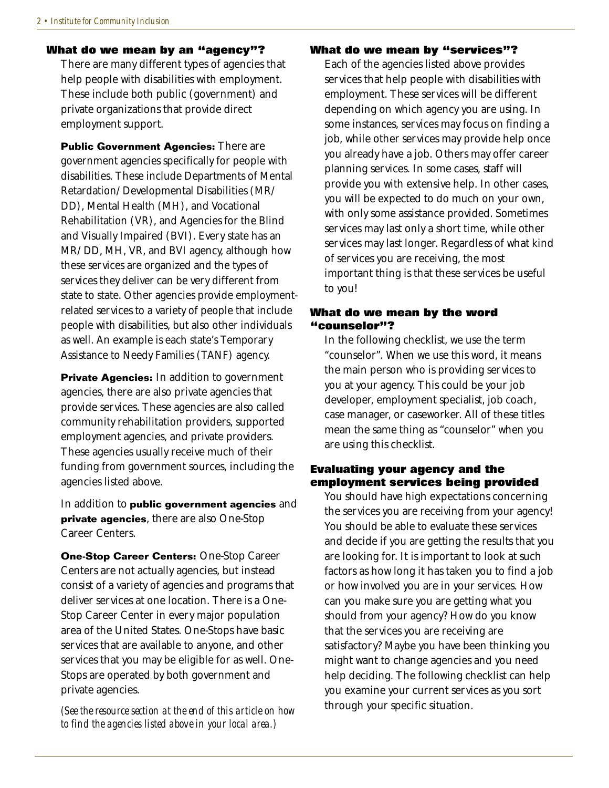#### **What do we mean by an "agency"?**

There are many different types of agencies that help people with disabilities with employment. These include both public (government) and private organizations that provide direct employment support.

**Public Government Agencies:** There are government agencies specifically for people with disabilities. These include Departments of Mental Retardation/Developmental Disabilities (MR/ DD), Mental Health (MH), and Vocational Rehabilitation (VR), and Agencies for the Blind and Visually Impaired (BVI). Every state has an MR/DD, MH, VR, and BVI agency, although how these services are organized and the types of services they deliver can be very different from state to state. Other agencies provide employmentrelated services to a variety of people that include people with disabilities, but also other individuals as well. An example is each state's Temporary Assistance to Needy Families (TANF) agency.

**Private Agencies:** In addition to government agencies, there are also private agencies that provide services. These agencies are also called community rehabilitation providers, supported employment agencies, and private providers. These agencies usually receive much of their funding from government sources, including the agencies listed above.

In addition to **public government agencies** and **private agencies**, there are also One-Stop Career Centers.

**One-Stop Career Centers:** One-Stop Career Centers are not actually agencies, but instead consist of a variety of agencies and programs that deliver services at one location. There is a One-Stop Career Center in every major population area of the United States. One-Stops have basic services that are available to anyone, and other services that you may be eligible for as well. One-Stops are operated by both government and private agencies.

*(See the resource section at the end of this article on how to find the agencies listed above in your local area.)*

#### **What do we mean by "services"?**

Each of the agencies listed above provides services that help people with disabilities with employment. These services will be different depending on which agency you are using. In some instances, services may focus on finding a job, while other services may provide help once you already have a job. Others may offer career planning services. In some cases, staff will provide you with extensive help. In other cases, you will be expected to do much on your own, with only some assistance provided. Sometimes services may last only a short time, while other services may last longer. Regardless of what kind of services you are receiving, the most important thing is that these services be useful to you!

#### **What do we mean by the word "counselor"?**

In the following checklist, we use the term "counselor". When we use this word, it means the main person who is providing services to you at your agency. This could be your job developer, employment specialist, job coach, case manager, or caseworker. All of these titles mean the same thing as "counselor" when you are using this checklist.

#### **Evaluating your agency and the employment services being provided**

You should have high expectations concerning the services you are receiving from your agency! You should be able to evaluate these services and decide if you are getting the results that you are looking for. It is important to look at such factors as how long it has taken you to find a job or how involved you are in your services. How can you make sure you are getting what you should from your agency? How do you know that the services you are receiving are satisfactory? Maybe you have been thinking you might want to change agencies and you need help deciding. The following checklist can help you examine your current services as you sort through your specific situation.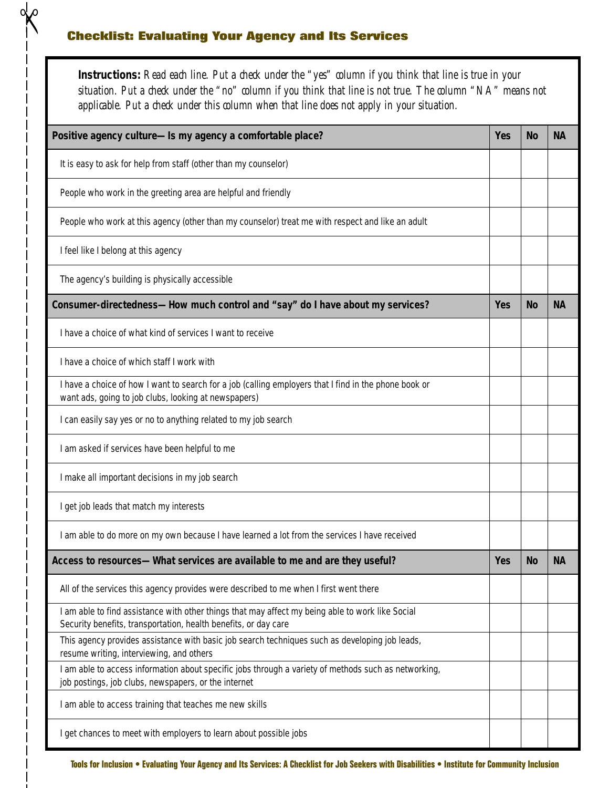#### **Checklist: Evaluating Your Agency and Its Services**

 $\sqrt{\infty}$ 

**Instructions:** *Read each line. Put a check under the "yes" column if you think that line is true in your situation. Put a check under the "no" column if you think that line is not true. The column "NA" means not applicable. Put a check under this column when that line does not apply in your situation.*

| Positive agency culture-Is my agency a comfortable place?                                                                                                           |  | <b>No</b> | <b>NA</b> |  |  |  |
|---------------------------------------------------------------------------------------------------------------------------------------------------------------------|--|-----------|-----------|--|--|--|
| It is easy to ask for help from staff (other than my counselor)                                                                                                     |  |           |           |  |  |  |
| People who work in the greeting area are helpful and friendly                                                                                                       |  |           |           |  |  |  |
| People who work at this agency (other than my counselor) treat me with respect and like an adult                                                                    |  |           |           |  |  |  |
| I feel like I belong at this agency                                                                                                                                 |  |           |           |  |  |  |
| The agency's building is physically accessible                                                                                                                      |  |           |           |  |  |  |
| Consumer-directedness—How much control and "say" do I have about my services?                                                                                       |  |           | <b>NA</b> |  |  |  |
| I have a choice of what kind of services I want to receive                                                                                                          |  |           |           |  |  |  |
| I have a choice of which staff I work with                                                                                                                          |  |           |           |  |  |  |
| I have a choice of how I want to search for a job (calling employers that I find in the phone book or<br>want ads, going to job clubs, looking at newspapers)       |  |           |           |  |  |  |
| I can easily say yes or no to anything related to my job search                                                                                                     |  |           |           |  |  |  |
| I am asked if services have been helpful to me                                                                                                                      |  |           |           |  |  |  |
| I make all important decisions in my job search                                                                                                                     |  |           |           |  |  |  |
| I get job leads that match my interests                                                                                                                             |  |           |           |  |  |  |
| I am able to do more on my own because I have learned a lot from the services I have received                                                                       |  |           |           |  |  |  |
| Access to resources-What services are available to me and are they useful?                                                                                          |  | <b>No</b> | <b>NA</b> |  |  |  |
| All of the services this agency provides were described to me when I first went there                                                                               |  |           |           |  |  |  |
| I am able to find assistance with other things that may affect my being able to work like Social<br>Security benefits, transportation, health benefits, or day care |  |           |           |  |  |  |
| This agency provides assistance with basic job search techniques such as developing job leads,<br>resume writing, interviewing, and others                          |  |           |           |  |  |  |
| I am able to access information about specific jobs through a variety of methods such as networking,<br>job postings, job clubs, newspapers, or the internet        |  |           |           |  |  |  |
| I am able to access training that teaches me new skills                                                                                                             |  |           |           |  |  |  |
| I get chances to meet with employers to learn about possible jobs                                                                                                   |  |           |           |  |  |  |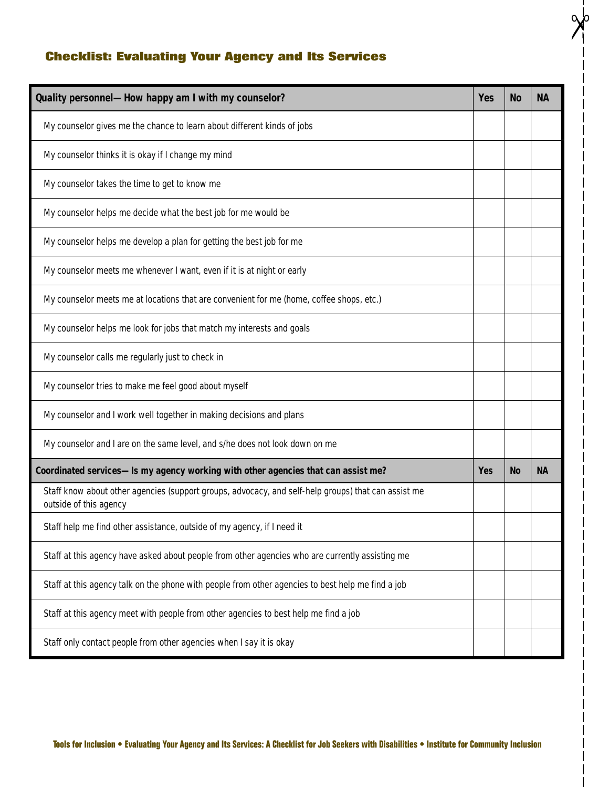#### **Checklist: Evaluating Your Agency and Its Services**

| Quality personnel-How happy am I with my counselor?                                                                           |  |           | <b>NA</b> |
|-------------------------------------------------------------------------------------------------------------------------------|--|-----------|-----------|
| My counselor gives me the chance to learn about different kinds of jobs                                                       |  |           |           |
| My counselor thinks it is okay if I change my mind                                                                            |  |           |           |
| My counselor takes the time to get to know me                                                                                 |  |           |           |
| My counselor helps me decide what the best job for me would be                                                                |  |           |           |
| My counselor helps me develop a plan for getting the best job for me                                                          |  |           |           |
| My counselor meets me whenever I want, even if it is at night or early                                                        |  |           |           |
| My counselor meets me at locations that are convenient for me (home, coffee shops, etc.)                                      |  |           |           |
| My counselor helps me look for jobs that match my interests and goals                                                         |  |           |           |
| My counselor calls me regularly just to check in                                                                              |  |           |           |
| My counselor tries to make me feel good about myself                                                                          |  |           |           |
| My counselor and I work well together in making decisions and plans                                                           |  |           |           |
| My counselor and I are on the same level, and s/he does not look down on me                                                   |  |           |           |
| Coordinated services-Is my agency working with other agencies that can assist me?                                             |  | <b>No</b> | <b>NA</b> |
| Staff know about other agencies (support groups, advocacy, and self-help groups) that can assist me<br>outside of this agency |  |           |           |
| Staff help me find other assistance, outside of my agency, if I need it                                                       |  |           |           |
| Staff at this agency have asked about people from other agencies who are currently assisting me                               |  |           |           |
| Staff at this agency talk on the phone with people from other agencies to best help me find a job                             |  |           |           |
| Staff at this agency meet with people from other agencies to best help me find a job                                          |  |           |           |
| Staff only contact people from other agencies when I say it is okay                                                           |  |           |           |

 $\frac{1}{2}$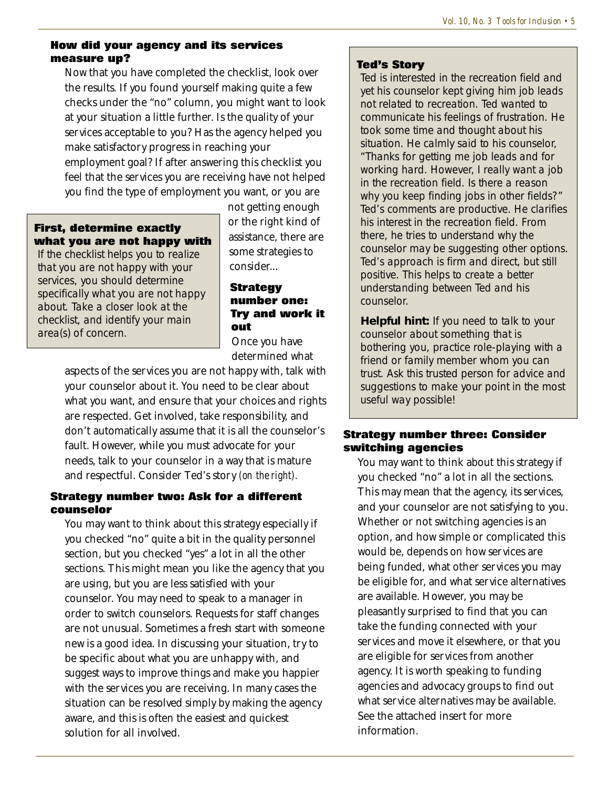#### **How did your agency and its services measure up?**

Now that you have completed the checklist, look over the results. If you found yourself making quite a few checks under the "no" column, you might want to look at your situation a little further. Is the quality of your services acceptable to you? Has the agency helped you make satisfactory progress in reaching your employment goal? If after answering this checklist you feel that the services you are receiving have not helped you find the type of employment you want, or you are

#### **First, determine exactly what you are not happy with**

If the checklist helps you to realize that you are not happy with your services, you should determine specifically what you are not happy about. Take a closer look at the checklist, and identify your main area(s) of concern.

not getting enough or the right kind of assistance, there are some strategies to consider...

#### **Strategy number one: Try and work it out**

Once you have determined what

aspects of the services you are not happy with, talk with your counselor about it. You need to be clear about what you want, and ensure that your choices and rights are respected. Get involved, take responsibility, and don't automatically assume that it is all the counselor's fault. However, while you must advocate for your needs, talk to your counselor in a way that is mature and respectful. Consider Ted's story *(on the right).*

#### **Strategy number two: Ask for a different counselor**

You may want to think about this strategy especially if you checked "no" quite a bit in the quality personnel section, but you checked "yes" a lot in all the other sections. This might mean you like the agency that you are using, but you are less satisfied with your counselor. You may need to speak to a manager in order to switch counselors. Requests for staff changes are not unusual. Sometimes a fresh start with someone new is a good idea. In discussing your situation, try to be specific about what you are unhappy with, and suggest ways to improve things and make you happier with the services you are receiving. In many cases the situation can be resolved simply by making the agency aware, and this is often the easiest and quickest solution for all involved.

#### **Ted's Story**

Ted is interested in the recreation field and yet his counselor kept giving him job leads not related to recreation. Ted wanted to communicate his feelings of frustration. He took some time and thought about his situation. He calmly said to his counselor, "Thanks for getting me job leads and for working hard. However, I really want a job in the recreation field. Is there a reason why you keep finding jobs in other fields?" Ted's comments are productive. He clarifies his interest in the recreation field. From there, he tries to understand why the counselor may be suggesting other options. Ted's approach is firm and direct, but still positive. This helps to create a better understanding between Ted and his counselor.

**Helpful hint:** If you need to talk to your counselor about something that is bothering you, practice role-playing with a friend or family member whom you can trust. Ask this trusted person for advice and suggestions to make your point in the most useful way possible!

#### **Strategy number three: Consider switching agencies**

You may want to think about this strategy if you checked "no" a lot in all the sections. This may mean that the agency, its services, and your counselor are not satisfying to you. Whether or not switching agencies is an option, and how simple or complicated this would be, depends on how services are being funded, what other services you may be eligible for, and what service alternatives are available. However, you may be pleasantly surprised to find that you can take the funding connected with your services and move it elsewhere, or that you are eligible for services from another agency. It is worth speaking to funding agencies and advocacy groups to find out what service alternatives may be available. See the attached insert for more information.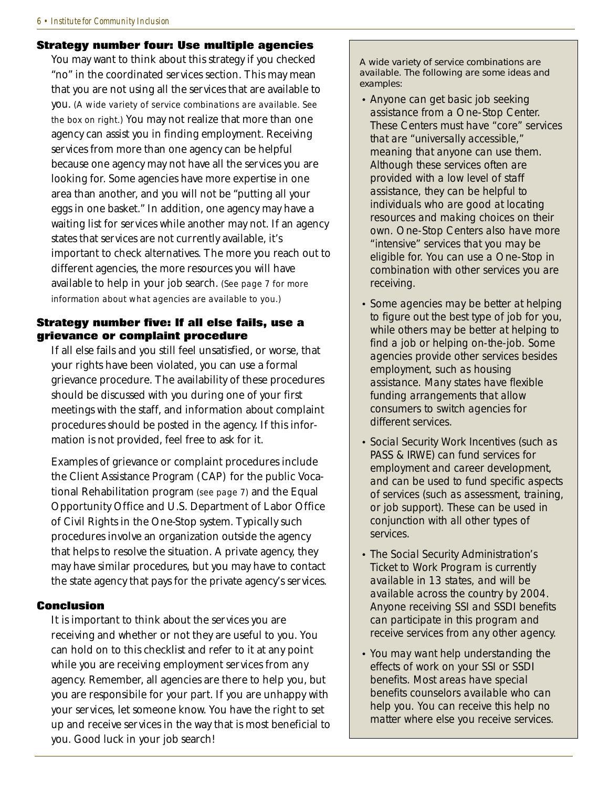#### **Strategy number four: Use multiple agencies**

You may want to think about this strategy if you checked "no" in the coordinated services section. This may mean that you are not using all the services that are available to you. *(A wide variety of service combinations are available. See the box on right.)* You may not realize that more than one agency can assist you in finding employment. Receiving services from more than one agency can be helpful because one agency may not have all the services you are looking for. Some agencies have more expertise in one area than another, and you will not be "putting all your eggs in one basket." In addition, one agency may have a waiting list for services while another may not. If an agency states that services are not currently available, it's important to check alternatives. The more you reach out to different agencies, the more resources you will have available to help in your job search. *(See page 7 for more information about what agencies are available to you.)*

#### **Strategy number five: If all else fails, use a grievance or complaint procedure**

If all else fails and you still feel unsatisfied, or worse, that your rights have been violated, you can use a formal grievance procedure. The availability of these procedures should be discussed with you during one of your first meetings with the staff, and information about complaint procedures should be posted in the agency. If this information is not provided, feel free to ask for it.

Examples of grievance or complaint procedures include the Client Assistance Program (CAP) for the public Vocational Rehabilitation program *(see page 7)* and the Equal Opportunity Office and U.S. Department of Labor Office of Civil Rights in the One-Stop system. Typically such procedures involve an organization outside the agency that helps to resolve the situation. A private agency, they may have similar procedures, but you may have to contact the state agency that pays for the private agency's services.

#### **Conclusion**

It is important to think about the services you are receiving and whether or not they are useful to you. You can hold on to this checklist and refer to it at any point while you are receiving employment services from any agency. Remember, all agencies are there to help you, but you are responsibile for your part. If you are unhappy with your services, let someone know. You have the right to set up and receive services in the way that is most beneficial to you. Good luck in your job search!

A wide variety of service combinations are available. The following are some ideas and examples:

- Anyone can get basic job seeking assistance from a One-Stop Center. These Centers must have "core" services that are "universally accessible," meaning that anyone can use them. Although these services often are provided with a low level of staff assistance, they can be helpful to individuals who are good at locating resources and making choices on their own. One-Stop Centers also have more "intensive" services that you may be eligible for. You can use a One-Stop in combination with other services you are receiving.
- Some agencies may be better at helping to figure out the best type of job for you, while others may be better at helping to find a job or helping on-the-job. Some agencies provide other services besides employment, such as housing assistance. Many states have flexible funding arrangements that allow consumers to switch agencies for different services.
- Social Security Work Incentives (such as PASS & IRWE) can fund services for employment and career development, and can be used to fund specific aspects of services (such as assessment, training, or job support). These can be used in conjunction with all other types of services.
- The Social Security Administration's Ticket to Work Program is currently available in 13 states, and will be available across the country by 2004. Anyone receiving SSI and SSDI benefits can participate in this program and receive services from any other agency.
- You may want help understanding the effects of work on your SSI or SSDI benefits. Most areas have special benefits counselors available who can help you. You can receive this help no matter where else you receive services.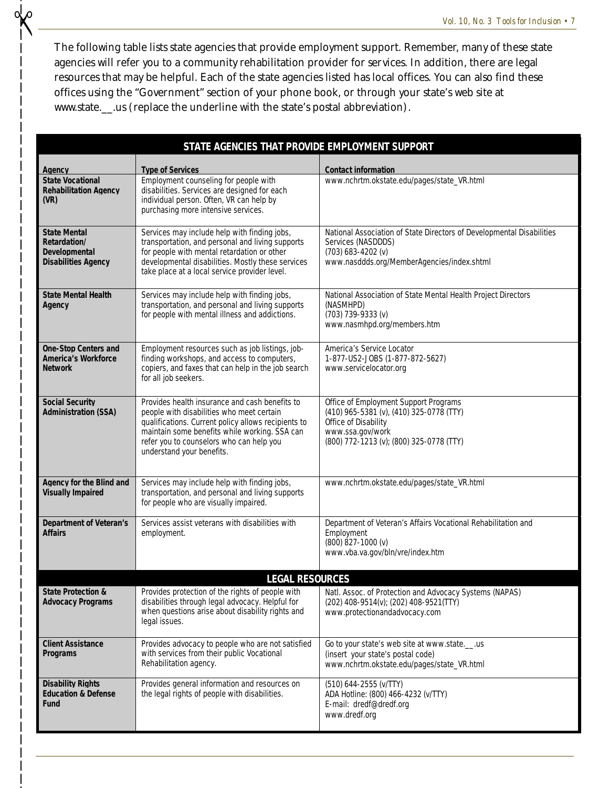The following table lists state agencies that provide employment support. Remember, many of these state agencies will refer you to a community rehabilitation provider for services. In addition, there are legal resources that may be helpful. Each of the state agencies listed has local offices. You can also find these offices using the "Government" section of your phone book, or through your state's web site at www.state.\_\_.us (replace the underline with the state's postal abbreviation).

✃

| STATE AGENCIES THAT PROVIDE EMPLOYMENT SUPPORT                                                   |                                                                                                                                                                                                                                                                              |                                                                                                                                                                           |  |  |  |
|--------------------------------------------------------------------------------------------------|------------------------------------------------------------------------------------------------------------------------------------------------------------------------------------------------------------------------------------------------------------------------------|---------------------------------------------------------------------------------------------------------------------------------------------------------------------------|--|--|--|
| Agency                                                                                           | <b>Type of Services</b>                                                                                                                                                                                                                                                      | <b>Contact information</b>                                                                                                                                                |  |  |  |
| <b>State Vocational</b><br><b>Rehabilitation Agency</b><br>(VR)                                  | Employment counseling for people with<br>disabilities. Services are designed for each<br>individual person. Often, VR can help by<br>purchasing more intensive services.                                                                                                     | www.nchrtm.okstate.edu/pages/state_VR.html                                                                                                                                |  |  |  |
| <b>State Mental</b><br><b>Retardation/</b><br><b>Developmental</b><br><b>Disabilities Agency</b> | Services may include help with finding jobs,<br>transportation, and personal and living supports<br>for people with mental retardation or other<br>developmental disabilities. Mostly these services<br>take place at a local service provider level.                        | National Association of State Directors of Developmental Disabilities<br>Services (NASDDDS)<br>$(703)$ 683-4202 (v)<br>www.nasddds.org/MemberAgencies/index.shtml         |  |  |  |
| <b>State Mental Health</b><br>Agency                                                             | Services may include help with finding jobs,<br>transportation, and personal and living supports<br>for people with mental illness and addictions.                                                                                                                           | National Association of State Mental Health Project Directors<br>(NASMHPD)<br>(703) 739-9333 (v)<br>www.nasmhpd.org/members.htm                                           |  |  |  |
| <b>One-Stop Centers and</b><br><b>America's Workforce</b><br><b>Network</b>                      | Employment resources such as job listings, job-<br>finding workshops, and access to computers,<br>copiers, and faxes that can help in the job search<br>for all job seekers.                                                                                                 | America's Service Locator<br>1-877-US2-JOBS (1-877-872-5627)<br>www.servicelocator.org                                                                                    |  |  |  |
| <b>Social Security</b><br><b>Administration (SSA)</b>                                            | Provides health insurance and cash benefits to<br>people with disabilities who meet certain<br>qualifications. Current policy allows recipients to<br>maintain some benefits while working. SSA can<br>refer you to counselors who can help you<br>understand your benefits. | Office of Employment Support Programs<br>(410) 965-5381 (v), (410) 325-0778 (TTY)<br>Office of Disability<br>www.ssa.gov/work<br>(800) 772-1213 (v); (800) 325-0778 (TTY) |  |  |  |
| Agency for the Blind and<br><b>Visually Impaired</b>                                             | Services may include help with finding jobs,<br>transportation, and personal and living supports<br>for people who are visually impaired.                                                                                                                                    | www.nchrtm.okstate.edu/pages/state_VR.html                                                                                                                                |  |  |  |
| <b>Department of Veteran's</b><br>Affairs                                                        | Services assist veterans with disabilities with<br>employment.                                                                                                                                                                                                               | Department of Veteran's Affairs Vocational Rehabilitation and<br>Employment<br>$(800)$ $827 - 1000$ (v)<br>www.vba.va.gov/bln/vre/index.htm                               |  |  |  |
| <b>LEGAL RESOURCES</b>                                                                           |                                                                                                                                                                                                                                                                              |                                                                                                                                                                           |  |  |  |
| <b>State Protection &amp;</b><br><b>Advocacy Programs</b>                                        | Provides protection of the rights of people with<br>disabilities through legal advocacy. Helpful for<br>when questions arise about disability rights and<br>legal issues.                                                                                                    | Natl. Assoc. of Protection and Advocacy Systems (NAPAS)<br>(202) 408-9514(v); (202) 408-9521(TTY)<br>www.protectionandadvocacy.com                                        |  |  |  |
| <b>Client Assistance</b><br>Programs                                                             | Provides advocacy to people who are not satisfied<br>with services from their public Vocational<br>Rehabilitation agency.                                                                                                                                                    | Go to your state's web site at www.stateus<br>(insert your state's postal code)<br>www.nchrtm.okstate.edu/pages/state_VR.html                                             |  |  |  |
| <b>Disability Rights</b><br><b>Education &amp; Defense</b><br>Fund                               | Provides general information and resources on<br>the legal rights of people with disabilities.                                                                                                                                                                               | (510) 644-2555 (v/TTY)<br>ADA Hotline: (800) 466-4232 (v/TTY)<br>E-mail: dredf@dredf.org<br>www.dredf.org                                                                 |  |  |  |